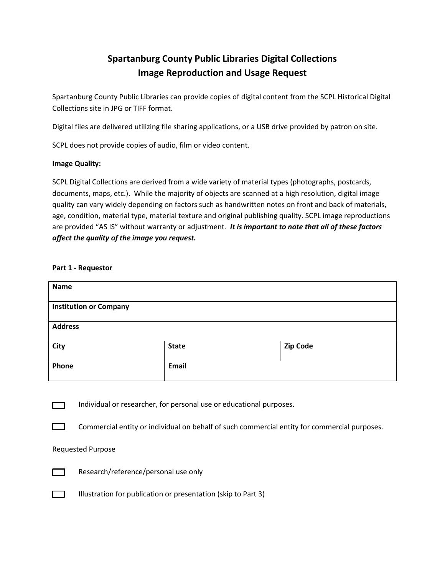# **Spartanburg County Public Libraries Digital Collections Image Reproduction and Usage Request**

Spartanburg County Public Libraries can provide copies of digital content from the SCPL Historical Digital Collections site in JPG or TIFF format.

Digital files are delivered utilizing file sharing applications, or a USB drive provided by patron on site.

SCPL does not provide copies of audio, film or video content.

## **Image Quality:**

SCPL Digital Collections are derived from a wide variety of material types (photographs, postcards, documents, maps, etc.). While the majority of objects are scanned at a high resolution, digital image quality can vary widely depending on factors such as handwritten notes on front and back of materials, age, condition, material type, material texture and original publishing quality. SCPL image reproductions are provided "AS IS" without warranty or adjustment*. It is important to note that all of these factors affect the quality of the image you request.* 

## **Part 1 - Requestor**

| <b>Name</b>                   |              |          |  |  |
|-------------------------------|--------------|----------|--|--|
| <b>Institution or Company</b> |              |          |  |  |
| <b>Address</b>                |              |          |  |  |
| City                          | <b>State</b> | Zip Code |  |  |
| Phone                         | Email        |          |  |  |



Individual or researcher, for personal use or educational purposes.



Commercial entity or individual on behalf of such commercial entity for commercial purposes.

## Requested Purpose



Research/reference/personal use only



Illustration for publication or presentation (skip to Part 3)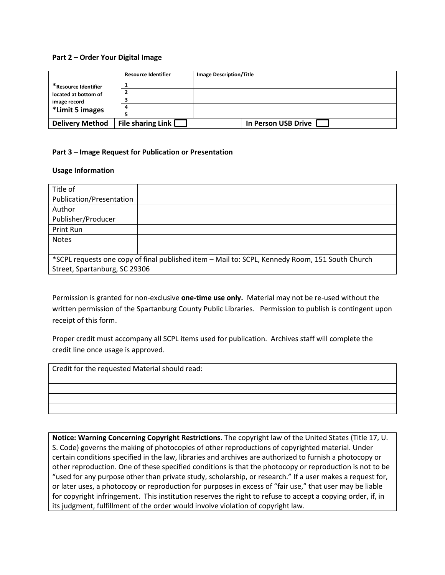#### **Part 2 – Order Your Digital Image**

|                                                                                 | <b>Resource Identifier</b> | <b>Image Description/Title</b> |
|---------------------------------------------------------------------------------|----------------------------|--------------------------------|
| *Resource Identifier<br>located at bottom of<br>image record<br>*Limit 5 images |                            |                                |
|                                                                                 |                            |                                |
|                                                                                 |                            |                                |
|                                                                                 |                            |                                |
|                                                                                 |                            |                                |
| <b>Delivery Method</b>                                                          | File sharing Link [        | In Person USB Drive            |

## **Part 3 – Image Request for Publication or Presentation**

#### **Usage Information**

| Title of                                                                                        |  |  |
|-------------------------------------------------------------------------------------------------|--|--|
| Publication/Presentation                                                                        |  |  |
| Author                                                                                          |  |  |
| Publisher/Producer                                                                              |  |  |
| Print Run                                                                                       |  |  |
| <b>Notes</b>                                                                                    |  |  |
|                                                                                                 |  |  |
| *SCPL requests one copy of final published item - Mail to: SCPL, Kennedy Room, 151 South Church |  |  |
| Street, Spartanburg, SC 29306                                                                   |  |  |

Permission is granted for non-exclusive **one-time use only.** Material may not be re-used without the written permission of the Spartanburg County Public Libraries. Permission to publish is contingent upon receipt of this form.

Proper credit must accompany all SCPL items used for publication. Archives staff will complete the credit line once usage is approved.

Credit for the requested Material should read:

**Notice: Warning Concerning Copyright Restrictions**. The copyright law of the United States (Title 17, U. S. Code) governs the making of photocopies of other reproductions of copyrighted material. Under certain conditions specified in the law, libraries and archives are authorized to furnish a photocopy or other reproduction. One of these specified conditions is that the photocopy or reproduction is not to be "used for any purpose other than private study, scholarship, or research." If a user makes a request for, or later uses, a photocopy or reproduction for purposes in excess of "fair use," that user may be liable for copyright infringement. This institution reserves the right to refuse to accept a copying order, if, in its judgment, fulfillment of the order would involve violation of copyright law.